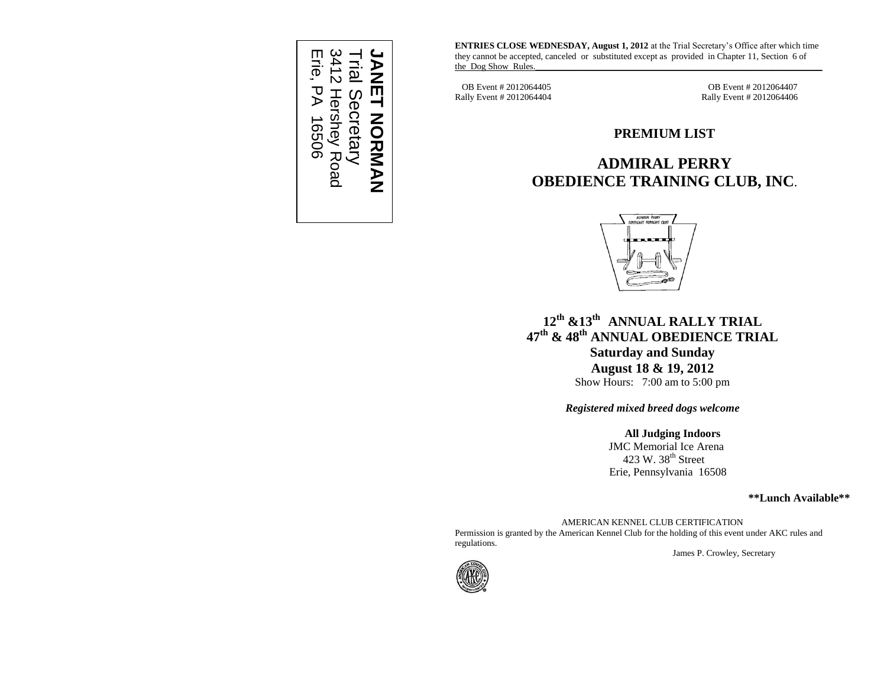Erie, PA ယ 3412 Hershey Road Trial Secretary **JANET NORMAN**Erie, PA 16506  $71+$  $\vec{a}$ **Hershey Road** Щ Secretary 9099L NORWAN **ENTRIES CLOSE WEDNESDAY, August 1, 2012** at the Trial Secretary's Office after which time they cannot be accepted, canceled or substituted except as provided in Chapter 11, Section 6 of the Dog Show Rules.

OB Event # 2012064405 OB Event # 2012064407

Rally Event # 2012064404 Rally Event # 2012064406

# **PREMIUM LIST**

# **ADMIRAL PERRY OBEDIENCE TRAINING CLUB, INC**.



# **12th &13th ANNUAL RALLY TRIAL 47th & 48th ANNUAL OBEDIENCE TRIAL Saturday and Sunday August 18 & 19, 2012** Show Hours: 7:00 am to 5:00 pm

*Registered mixed breed dogs welcome*

**All Judging Indoors** JMC Memorial Ice Arena 423 W.  $38<sup>th</sup>$  Street Erie, Pennsylvania 16508

 **\*\*Lunch Available\*\***

AMERICAN KENNEL CLUB CERTIFICATION Permission is granted by the American Kennel Club for the holding of this event under AKC rules and regulations.

James P. Crowley, Secretary

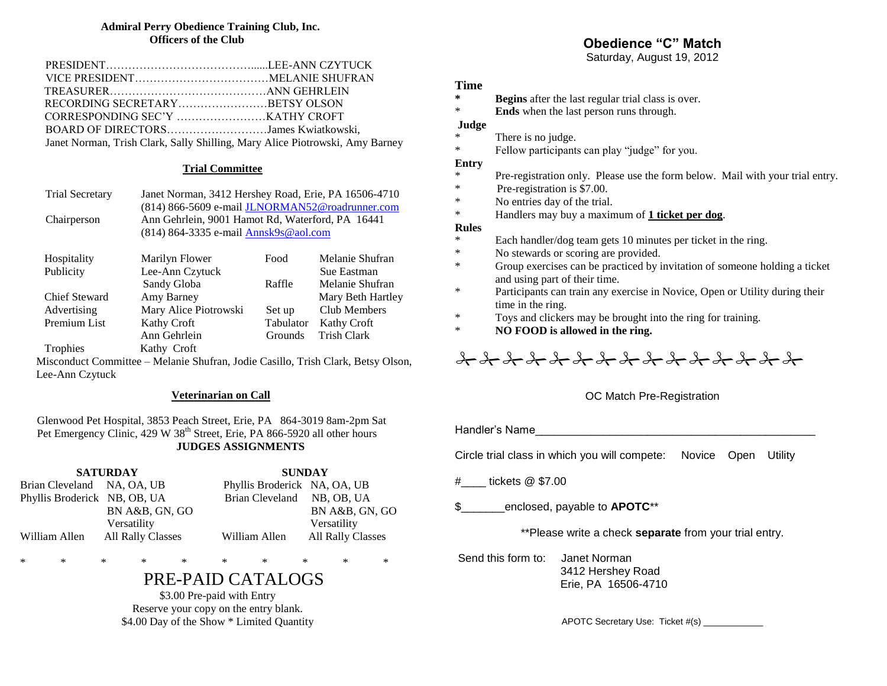#### **Admiral Perry Obedience Training Club, Inc. Officers of the Club**

| BOARD OF DIRECTORSJames Kwiatkowski,<br>Janet Norman, Trish Clark, Sally Shilling, Mary Alice Piotrowski, Amy Barney |  |  |
|----------------------------------------------------------------------------------------------------------------------|--|--|
|                                                                                                                      |  |  |
|                                                                                                                      |  |  |
|                                                                                                                      |  |  |
|                                                                                                                      |  |  |
|                                                                                                                      |  |  |
|                                                                                                                      |  |  |

#### **Trial Committee**

| <b>Trial Secretary</b> | Janet Norman, 3412 Hershey Road, Erie, PA 16506-4710                            |           |                    |
|------------------------|---------------------------------------------------------------------------------|-----------|--------------------|
|                        | (814) 866-5609 e-mail JLNORMAN52@roadrunner.com                                 |           |                    |
| Chairperson            | Ann Gehrlein, 9001 Hamot Rd, Waterford, PA 16441                                |           |                    |
|                        | $(814)$ 864-3335 e-mail $\frac{\text{Annsk9s@aol.com}}{\text{Annsk9s@aol.com}}$ |           |                    |
| Hospitality            | Marilyn Flower                                                                  | Food      | Melanie Shufran    |
| Publicity              | Lee-Ann Czytuck                                                                 |           | Sue Eastman        |
|                        | Sandy Globa                                                                     | Raffle    | Melanie Shufran    |
| Chief Steward          | Amy Barney                                                                      |           | Mary Beth Hartley  |
| Advertising            | Mary Alice Piotrowski                                                           | Set up    | Club Members       |
| Premium List           | <b>Kathy Croft</b>                                                              | Tabulator | <b>Kathy Croft</b> |
|                        | Ann Gehrlein                                                                    | Grounds   | <b>Trish Clark</b> |
|                        |                                                                                 |           |                    |

Trophies Kathy Croft

Misconduct Committee – Melanie Shufran, Jodie Casillo, Trish Clark, Betsy Olson, Lee-Ann Czytuck

#### **Veterinarian on Call**

 Glenwood Pet Hospital, 3853 Peach Street, Erie, PA 864-3019 8am-2pm Sat Pet Emergency Clinic, 429 W 38<sup>th</sup> Street, Erie, PA 866-5920 all other hours  **JUDGES ASSIGNMENTS**

Brian Cleveland NA, OA, UB Phyllis Broderick NA, OA, UB Phyllis Broderick NB, OB, UA Brian Cleveland NB, OB, UA William Allen All Rally Classes William Allen All Rally Classes

 **SATURDAY SUNDAY** BN A&B, GN, GO BN A&B, GN, GO Versatility Versatility

# PRE-PAID CATALOGS

\$3.00 Pre-paid with Entry Reserve your copy on the entry blank. \$4.00 Day of the Show \* Limited Quantity

\* \* \* \* \* \* \* \* \* \*

# **Obedience "C" Match**

Saturday, August 19, 2012

### **Time**

- **\* Begins** after the last regular trial class is over.
- \* **Ends** when the last person runs through.

### **Judge**

- \* There is no judge.
- \* Fellow participants can play "judge" for you.

## **Entry**

- Pre-registration only. Please use the form below. Mail with your trial entry.
- \* Pre-registration is \$7.00.
- \* No entries day of the trial.
- \* Handlers may buy a maximum of **1 ticket per dog**.

#### **Rules**

- \* Each handler/dog team gets 10 minutes per ticket in the ring.
- \* No stewards or scoring are provided.
- \* Group exercises can be practiced by invitation of someone holding a ticket and using part of their time.
- \* Participants can train any exercise in Novice, Open or Utility during their time in the ring.
- \* Toys and clickers may be brought into the ring for training.
- \* **NO FOOD is allowed in the ring.**

# <del>& & & & & & & & & & & & &</del> &

# OC Match Pre-Registration

| Handler's Name                                                    |  |  |  |  |  |  |
|-------------------------------------------------------------------|--|--|--|--|--|--|
| Circle trial class in which you will compete: Novice Open Utility |  |  |  |  |  |  |
| tickets $@$ \$7.00<br>#                                           |  |  |  |  |  |  |

\$\_\_\_\_\_\_\_enclosed, payable to **APOTC**\*\*

## \*\*Please write a check **separate** from your trial entry.

Send this form to: Janet Norman 3412 Hershey Road Erie, PA 16506-4710

APOTC Secretary Use: Ticket #(s) \_\_\_\_\_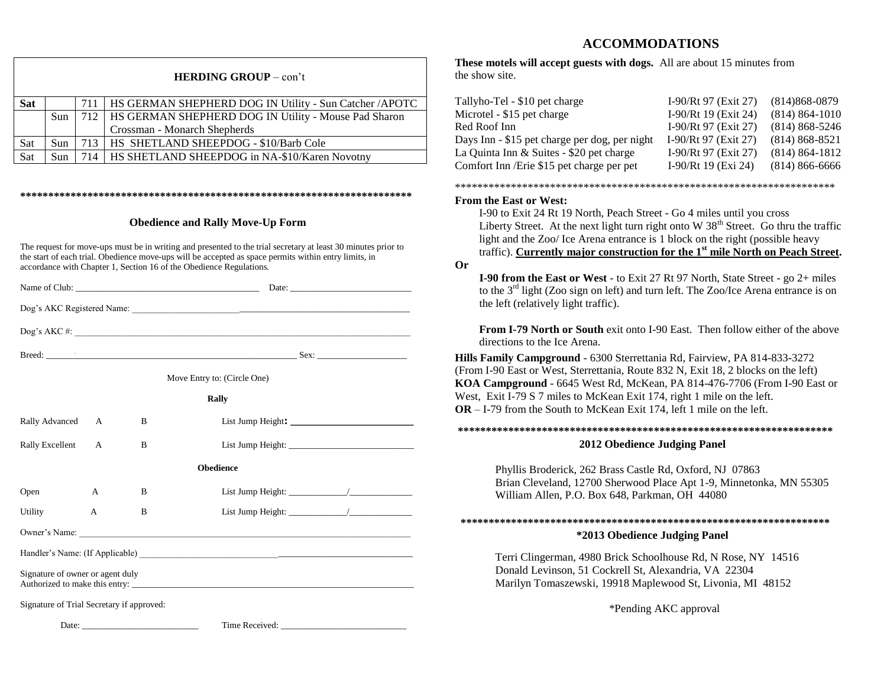|            |     |     | <b>HERDING GROUP</b> – con't                               |
|------------|-----|-----|------------------------------------------------------------|
| <b>Sat</b> |     | 711 | HS GERMAN SHEPHERD DOG IN Utility - Sun Catcher / APOTC    |
|            | Sun |     | 712   HS GERMAN SHEPHERD DOG IN Utility - Mouse Pad Sharon |
|            |     |     | Crossman - Monarch Shepherds                               |
| Sat        | Sun |     | 713   HS SHETLAND SHEEPDOG - \$10/Barb Cole                |
| Sat        | Sun |     | 714   HS SHETLAND SHEEPDOG in NA-\$10/Karen Novotny        |

#### **\*\*\*\*\*\*\*\*\*\*\*\*\*\*\*\*\*\*\*\*\*\*\*\*\*\*\*\*\*\*\*\*\*\*\*\*\*\*\*\*\*\*\*\*\*\*\*\*\*\*\*\*\*\*\*\*\*\*\*\*\*\*\*\*\*\*\*\*\*\***

#### **Obedience and Rally Move-Up Form**

The request for move-ups must be in writing and presented to the trial secretary at least 30 minutes prior to the start of each trial. Obedience move-ups will be accepted as space permits within entry limits, in accordance with Chapter 1, Section 16 of the Obedience Regulations*.*

|                                           |              |                                                                                                                                                                                                                                      | Move Entry to: (Circle One)    |
|-------------------------------------------|--------------|--------------------------------------------------------------------------------------------------------------------------------------------------------------------------------------------------------------------------------------|--------------------------------|
|                                           |              |                                                                                                                                                                                                                                      | Rally                          |
| Rally Advanced                            | A            | B                                                                                                                                                                                                                                    |                                |
| <b>Rally Excellent</b>                    | $\mathsf{A}$ | B                                                                                                                                                                                                                                    |                                |
|                                           |              |                                                                                                                                                                                                                                      | <b>Obedience</b>               |
| Open                                      | A            | B                                                                                                                                                                                                                                    |                                |
| <b>Utility</b>                            | A            | B                                                                                                                                                                                                                                    |                                |
|                                           |              |                                                                                                                                                                                                                                      |                                |
|                                           |              |                                                                                                                                                                                                                                      |                                |
| Signature of owner or agent duly          |              |                                                                                                                                                                                                                                      | Authorized to make this entry: |
| Signature of Trial Secretary if approved: |              |                                                                                                                                                                                                                                      |                                |
| Date:                                     |              | <u> 1989 - Johann Harry Harry Harry Harry Harry Harry Harry Harry Harry Harry Harry Harry Harry Harry Harry Harry Harry Harry Harry Harry Harry Harry Harry Harry Harry Harry Harry Harry Harry Harry Harry Harry Harry Harry Ha</u> |                                |

# **ACCOMMODATIONS**

**These motels will accept guests with dogs.** All are about 15 minutes from the show site.

| I-90/Rt 97 (Exit 27)   | $(814)868-0879$    |
|------------------------|--------------------|
| I-90/Rt 19 (Exit 24)   | $(814) 864 - 1010$ |
| I-90/Rt 97 (Exit 27)   | $(814) 868 - 5246$ |
| $I-90/Rt 97$ (Exit 27) | $(814) 868 - 8521$ |
| I-90/Rt 97 (Exit 27)   | $(814) 864 - 1812$ |
| I-90/Rt 19 (Exi 24)    | $(814) 866 - 6666$ |
|                        |                    |

\*\*\*\*\*\*\*\*\*\*\*\*\*\*\*\*\*\*\*\*\*\*\*\*\*\*\*\*\*\*\*\*\*\*\*\*\*\*\*\*\*\*\*\*\*\*\*\*\*\*\*\*\*\*\*\*\*\*\*\*\*\*\*\*\*\*\*\*

#### **From the East or West:**

I-90 to Exit 24 Rt 19 North, Peach Street - Go 4 miles until you cross Liberty Street. At the next light turn right onto W  $38<sup>th</sup>$  Street. Go thru the traffic light and the Zoo/ Ice Arena entrance is 1 block on the right (possible heavy traffic). **Currently major construction for the 1st mile North on Peach Street.**

|        | ×<br>п.      |
|--------|--------------|
|        | ٠            |
| ×<br>× | I<br>۰.<br>v |

**I-90 from the East or West** - to Exit 27 Rt 97 North, State Street - go 2+ miles to the  $3<sup>rd</sup>$  light (Zoo sign on left) and turn left. The Zoo/Ice Arena entrance is on the left (relatively light traffic).

**From I-79 North or South** exit onto I-90 East. Then follow either of the above directions to the Ice Arena.

**Hills Family Campground** - 6300 Sterrettania Rd, Fairview, PA 814-833-3272 (From I-90 East or West, Sterrettania, Route 832 N, Exit 18, 2 blocks on the left) **KOA Campground** - 6645 West Rd, McKean, PA 814-476-7706 (From I-90 East or West, Exit I-79 S 7 miles to McKean Exit 174, right 1 mile on the left. **OR** – I-79 from the South to McKean Exit 174, left 1 mile on the left.

#### **\*\*\*\*\*\*\*\*\*\*\*\*\*\*\*\*\*\*\*\*\*\*\*\*\*\*\*\*\*\*\*\*\*\*\*\*\*\*\*\*\*\*\*\*\*\*\*\*\*\*\*\*\*\*\*\*\*\*\*\*\*\*\*\*\*\*\***

#### **2012 Obedience Judging Panel**

Phyllis Broderick, 262 Brass Castle Rd, Oxford, NJ 07863 Brian Cleveland, 12700 Sherwood Place Apt 1-9, Minnetonka, MN 55305 William Allen, P.O. Box 648, Parkman, OH 44080

# **\*\*\*\*\*\*\*\*\*\*\*\*\*\*\*\*\*\*\*\*\*\*\*\*\*\*\*\*\*\*\*\*\*\*\*\*\*\*\*\*\*\*\*\*\*\*\*\*\*\*\*\*\*\*\*\*\*\*\*\*\*\*\*\*\*\***

# **\*2013 Obedience Judging Panel**

Terri Clingerman, 4980 Brick Schoolhouse Rd, N Rose, NY 14516 Donald Levinson, 51 Cockrell St, Alexandria, VA 22304 Marilyn Tomaszewski, 19918 Maplewood St, Livonia, MI 48152

\*Pending AKC approval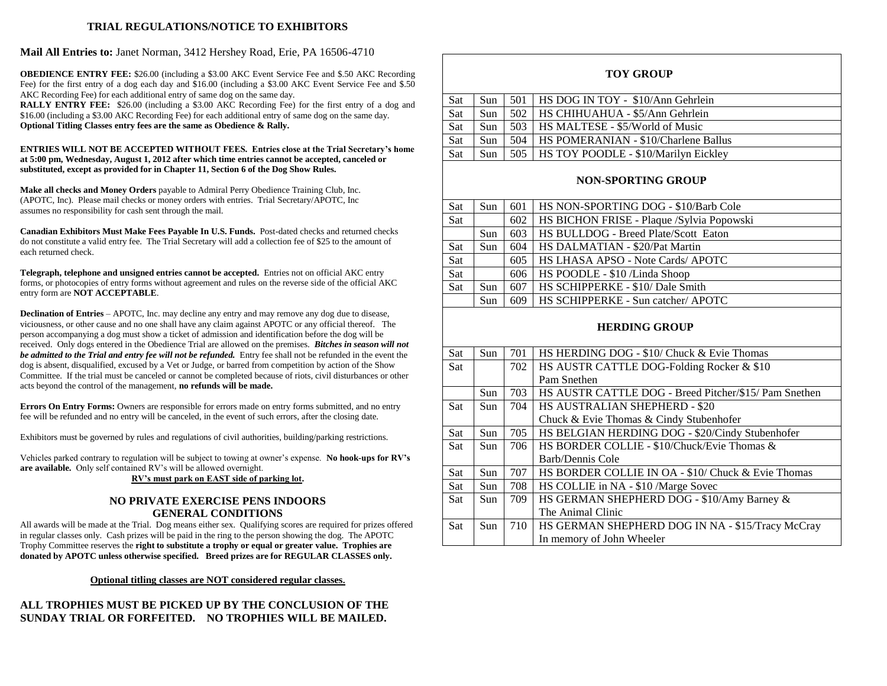#### **TRIAL REGULATIONS/NOTICE TO EXHIBITORS**

**Mail All Entries to:** Janet Norman, 3412 Hershey Road, Erie, PA 16506-4710

**OBEDIENCE ENTRY FEE:** \$26.00 (including a \$3.00 AKC Event Service Fee and \$.50 AKC Recording Fee) for the first entry of a dog each day and \$16.00 (including a \$3.00 AKC Event Service Fee and \$.50 AKC Recording Fee) for each additional entry of same dog on the same day.

**RALLY ENTRY FEE:** \$26.00 (including a \$3.00 AKC Recording Fee) for the first entry of a dog and \$16.00 (including a \$3.00 AKC Recording Fee) for each additional entry of same dog on the same day. **Optional Titling Classes entry fees are the same as Obedience & Rally.**

**ENTRIES WILL NOT BE ACCEPTED WITHOUT FEES. Entries close at the Trial Secretary's home at 5:00 pm, Wednesday, August 1, 2012 after which time entries cannot be accepted, canceled or substituted, except as provided for in Chapter 11, Section 6 of the Dog Show Rules.**

**Make all checks and Money Orders** payable to Admiral Perry Obedience Training Club, Inc. (APOTC, Inc). Please mail checks or money orders with entries. Trial Secretary/APOTC, Inc assumes no responsibility for cash sent through the mail.

**Canadian Exhibitors Must Make Fees Payable In U.S. Funds.** Post-dated checks and returned checks do not constitute a valid entry fee. The Trial Secretary will add a collection fee of \$25 to the amount of each returned check.

**Telegraph, telephone and unsigned entries cannot be accepted.** Entries not on official AKC entry forms, or photocopies of entry forms without agreement and rules on the reverse side of the official AKC entry form are **NOT ACCEPTABLE**.

**Declination of Entries** – APOTC, Inc. may decline any entry and may remove any dog due to disease, viciousness, or other cause and no one shall have any claim against APOTC or any official thereof. The person accompanying a dog must show a ticket of admission and identification before the dog will be received. Only dogs entered in the Obedience Trial are allowed on the premises. *Bitches in season will not be admitted to the Trial and entry fee will not be refunded.*Entry fee shall not be refunded in the event the dog is absent, disqualified, excused by a Vet or Judge, or barred from competition by action of the Show Committee. If the trial must be canceled or cannot be completed because of riots, civil disturbances or other acts beyond the control of the management, **no refunds will be made.** 

**Errors On Entry Forms:** Owners are responsible for errors made on entry forms submitted, and no entry fee will be refunded and no entry will be canceled, in the event of such errors, after the closing date.

Exhibitors must be governed by rules and regulations of civil authorities, building/parking restrictions.

Vehicles parked contrary to regulation will be subject to towing at owner's expense. **No hook-ups for RV's are available.** Only self contained RV's will be allowed overnight.

**RV's must park on EAST side of parking lot.**

#### **NO PRIVATE EXERCISE PENS INDOORS GENERAL CONDITIONS**

All awards will be made at the Trial. Dog means either sex. Qualifying scores are required for prizes offered in regular classes only. Cash prizes will be paid in the ring to the person showing the dog. The APOTC Trophy Committee reserves the **right to substitute a trophy or equal or greater value. Trophies are donated by APOTC unless otherwise specified. Breed prizes are for REGULAR CLASSES only.**

**Optional titling classes are NOT considered regular classes.**

#### **ALL TROPHIES MUST BE PICKED UP BY THE CONCLUSION OF THE SUNDAY TRIAL OR FORFEITED. NO TROPHIES WILL BE MAILED.**

|     |     |     | <b>TOY GROUP</b>                        |
|-----|-----|-----|-----------------------------------------|
| Sat | Sun |     | 501   HS DOG IN TOY - \$10/Ann Gehrlein |
| Sat | Sun | 502 | HS CHIHUAHUA - \$5/Ann Gehrlein         |
| Sat | Sun | 503 | HS MALTESE - \$5/World of Music         |
| Sat | Sun | 504 | HS POMERANIAN - \$10/Charlene Ballus    |
| Sat | Sun | 505 | HS TOY POODLE - \$10/Marilyn Eickley    |
|     |     |     |                                         |

#### **NON-SPORTING GROUP**

| Sat | Sun | 601 | HS NON-SPORTING DOG - \$10/Barb Cole      |
|-----|-----|-----|-------------------------------------------|
| Sat |     | 602 | HS BICHON FRISE - Plaque /Sylvia Popowski |
|     | Sun | 603 | HS BULLDOG - Breed Plate/Scott Eaton      |
| Sat | Sun | 604 | HS DALMATIAN - \$20/Pat Martin            |
| Sat |     | 605 | HS LHASA APSO - Note Cards/APOTC          |
| Sat |     | 606 | HS POODLE - \$10 /Linda Shoop             |
| Sat | Sun | 607 | HS SCHIPPERKE - \$10/ Dale Smith          |
|     | Sun | 609 | HS SCHIPPERKE - Sun catcher/ APOTC        |
|     |     |     |                                           |

#### **HERDING GROUP**

| Sat  | <b>Sun</b> | 701 | HS HERDING DOG - \$10/ Chuck & Evie Thomas            |
|------|------------|-----|-------------------------------------------------------|
| Sat  |            | 702 | HS AUSTR CATTLE DOG-Folding Rocker & \$10             |
|      |            |     | Pam Snethen                                           |
|      | <b>Sun</b> | 703 | HS AUSTR CATTLE DOG - Breed Pitcher/\$15/ Pam Snethen |
| Sat  | <b>Sun</b> | 704 | <b>HS AUSTRALIAN SHEPHERD - \$20</b>                  |
|      |            |     | Chuck & Evie Thomas & Cindy Stubenhofer               |
| Sat  | Sun        | 705 | HS BELGIAN HERDING DOG - \$20/Cindy Stubenhofer       |
| Sat. | Sun.       | 706 | HS BORDER COLLIE - \$10/Chuck/Evie Thomas &           |
|      |            |     | Barb/Dennis Cole                                      |
| Sat  | Sun        | 707 | HS BORDER COLLIE IN OA - \$10/ Chuck & Evie Thomas    |
| Sat  | <b>Sun</b> | 708 | HS COLLIE in NA - \$10 /Marge Sovec                   |
| Sat  | <b>Sun</b> | 709 | HS GERMAN SHEPHERD DOG - \$10/Amy Barney &            |
|      |            |     | The Animal Clinic                                     |
| Sat  | Sun        | 710 | HS GERMAN SHEPHERD DOG IN NA - \$15/Tracy McCray      |
|      |            |     | In memory of John Wheeler                             |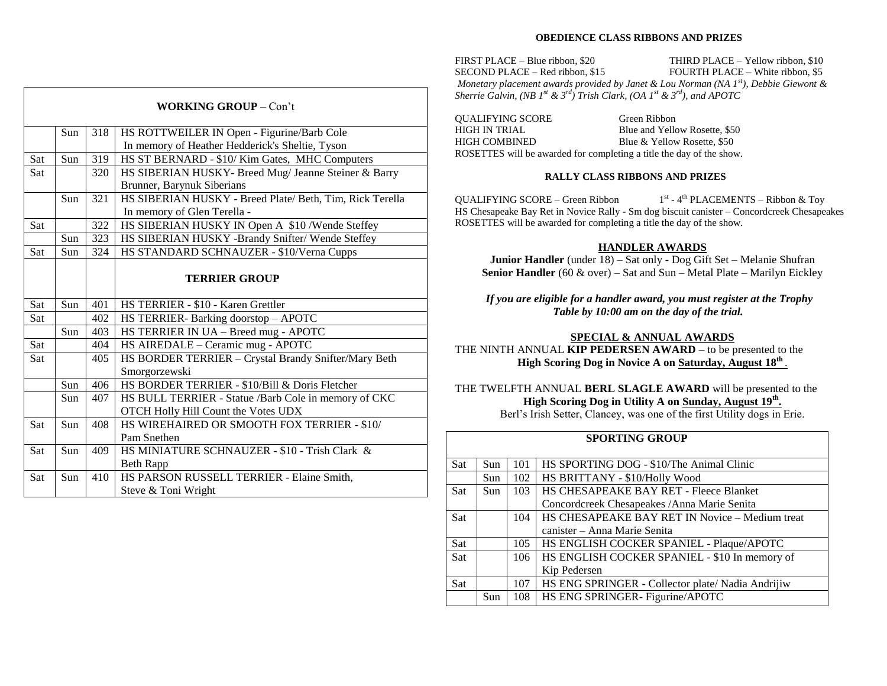|     |     |     | <b>WORKING GROUP - Con't</b>                             |
|-----|-----|-----|----------------------------------------------------------|
|     | Sun | 318 | HS ROTTWEILER IN Open - Figurine/Barb Cole               |
|     |     |     | In memory of Heather Hedderick's Sheltie, Tyson          |
| Sat | Sun | 319 | HS ST BERNARD - \$10/Kim Gates, MHC Computers            |
| Sat |     | 320 | HS SIBERIAN HUSKY- Breed Mug/ Jeanne Steiner & Barry     |
|     |     |     | Brunner, Barynuk Siberians                               |
|     | Sun | 321 | HS SIBERIAN HUSKY - Breed Plate/ Beth, Tim, Rick Terella |
|     |     |     | In memory of Glen Terella -                              |
| Sat |     | 322 | HS SIBERIAN HUSKY IN Open A \$10 / Wende Steffey         |
|     | Sun | 323 | HS SIBERIAN HUSKY -Brandy Snifter/ Wende Steffey         |
| Sat | Sun | 324 | HS STANDARD SCHNAUZER - \$10/Verna Cupps                 |
|     |     |     | <b>TERRIER GROUP</b>                                     |
| Sat | Sun | 401 | HS TERRIER - \$10 - Karen Grettler                       |
| Sat |     | 402 | HS TERRIER- Barking doorstop - APOTC                     |
|     | Sun | 403 | HS TERRIER IN UA - Breed mug - APOTC                     |
| Sat |     | 404 | HS AIREDALE - Ceramic mug - APOTC                        |
| Sat |     | 405 | HS BORDER TERRIER - Crystal Brandy Snifter/Mary Beth     |
|     |     |     | Smorgorzewski                                            |
|     | Sun | 406 | HS BORDER TERRIER - \$10/Bill & Doris Fletcher           |
|     | Sun | 407 | HS BULL TERRIER - Statue /Barb Cole in memory of CKC     |
|     |     |     | OTCH Holly Hill Count the Votes UDX                      |
| Sat | Sun | 408 | HS WIREHAIRED OR SMOOTH FOX TERRIER - \$10/              |
|     |     |     | Pam Snethen                                              |
| Sat | Sun | 409 | HS MINIATURE SCHNAUZER - \$10 - Trish Clark &            |
|     |     |     | <b>Beth Rapp</b>                                         |
| Sat | Sun | 410 | HS PARSON RUSSELL TERRIER - Elaine Smith,                |
|     |     |     | Steve & Toni Wright                                      |

#### **OBEDIENCE CLASS RIBBONS AND PRIZES**

FIRST PLACE – Blue ribbon, \$20 THIRD PLACE – Yellow ribbon, \$10 SECOND PLACE – Red ribbon, \$15 FOURTH PLACE – White ribbon, \$5 *Monetary placement awards provided by Janet & Lou Norman (NA 1st), Debbie Giewont & Sherrie Galvin, (NB 1st & 3rd) Trish Clark, (OA 1 st & 3rd), and APOTC* 

QUALIFYING SCORE Green Ribbon HIGH IN TRIAL Blue and Yellow Rosette, \$50 HIGH COMBINED Blue & Yellow Rosette, \$50 ROSETTES will be awarded for completing a title the day of the show.

#### **RALLY CLASS RIBBONS AND PRIZES**

QUALIFYING SCORE – Green Ribbon 1 <sup>st</sup> - 4<sup>th</sup> PLACEMENTS – Ribbon & Toy HS Chesapeake Bay Ret in Novice Rally - Sm dog biscuit canister – Concordcreek Chesapeakes ROSETTES will be awarded for completing a title the day of the show.

#### **HANDLER AWARDS**

**Junior Handler** (under 18) – Sat only - Dog Gift Set – Melanie Shufran **Senior Handler** (60 & over) – Sat and Sun – Metal Plate – Marilyn Eickley

 *If you are eligible for a handler award, you must register at the Trophy Table by 10:00 am on the day of the trial.* 

#### **SPECIAL & ANNUAL AWARDS**

THE NINTH ANNUAL **KIP PEDERSEN AWARD** – to be presented to the **High Scoring Dog in Novice A on Saturday, August 18th**  .

THE TWELFTH ANNUAL **BERL SLAGLE AWARD** will be presented to the **High Scoring Dog in Utility A on Sunday, August 19th .** Berl's Irish Setter, Clancey, was one of the first Utility dogs in Erie.

|            |            |     | <b>SPORTING GROUP</b>                             |
|------------|------------|-----|---------------------------------------------------|
|            |            |     |                                                   |
| Sat        | <b>Sun</b> | 101 | HS SPORTING DOG - \$10/The Animal Clinic          |
|            | Sun        | 102 | HS BRITTANY - \$10/Holly Wood                     |
| <b>Sat</b> | Sun        | 103 | HS CHESAPEAKE BAY RET - Fleece Blanket            |
|            |            |     | Concordcreek Chesapeakes / Anna Marie Senita      |
| Sat        |            | 104 | HS CHESAPEAKE BAY RET IN Novice – Medium treat    |
|            |            |     | canister – Anna Marie Senita                      |
| Sat        |            | 105 | HS ENGLISH COCKER SPANIEL - Plaque/APOTC          |
| Sat        |            | 106 | HS ENGLISH COCKER SPANIEL - \$10 In memory of     |
|            |            |     | Kip Pedersen                                      |
| Sat        |            | 107 | HS ENG SPRINGER - Collector plate/ Nadia Andrijiw |
|            | Sun        | 108 | HS ENG SPRINGER- Figurine/APOTC                   |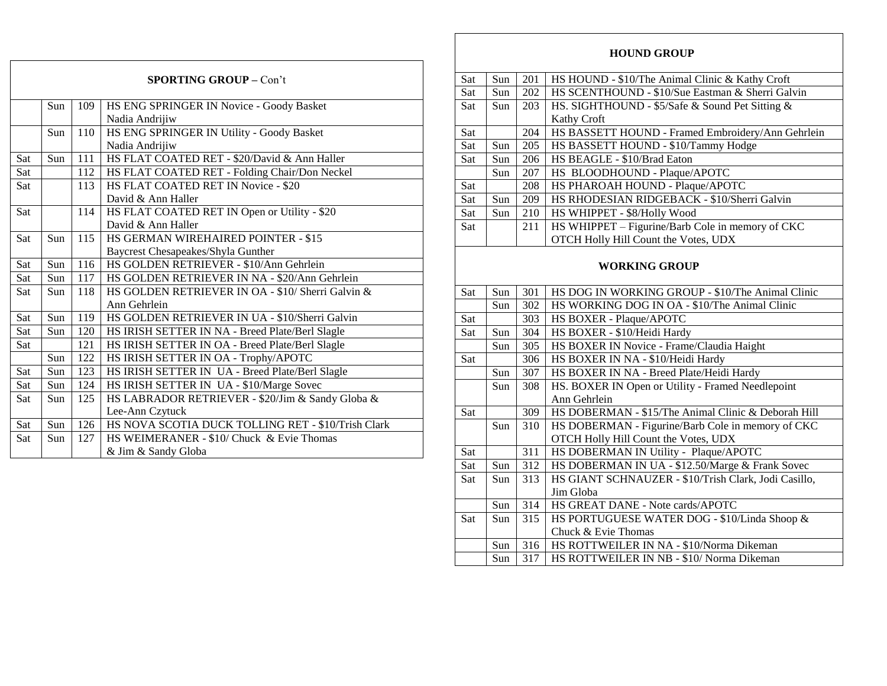| <b>SPORTING GROUP – Con't</b> |     |     |                                                    |  |  |  |
|-------------------------------|-----|-----|----------------------------------------------------|--|--|--|
|                               | Sun | 109 | HS ENG SPRINGER IN Novice - Goody Basket           |  |  |  |
|                               |     |     | Nadia Andrijiw                                     |  |  |  |
|                               | Sun | 110 | HS ENG SPRINGER IN Utility - Goody Basket          |  |  |  |
|                               |     |     | Nadia Andrijiw                                     |  |  |  |
| Sat                           | Sun | 111 | HS FLAT COATED RET - \$20/David & Ann Haller       |  |  |  |
| Sat                           |     | 112 | HS FLAT COATED RET - Folding Chair/Don Neckel      |  |  |  |
| Sat                           |     | 113 | HS FLAT COATED RET IN Novice - \$20                |  |  |  |
|                               |     |     | David & Ann Haller                                 |  |  |  |
| Sat                           |     | 114 | HS FLAT COATED RET IN Open or Utility - \$20       |  |  |  |
|                               |     |     | David & Ann Haller                                 |  |  |  |
| Sat                           | Sun | 115 | HS GERMAN WIREHAIRED POINTER - \$15                |  |  |  |
|                               |     |     | Baycrest Chesapeakes/Shyla Gunther                 |  |  |  |
| Sat                           | Sun | 116 | HS GOLDEN RETRIEVER - \$10/Ann Gehrlein            |  |  |  |
| Sat                           | Sun | 117 | HS GOLDEN RETRIEVER IN NA - \$20/Ann Gehrlein      |  |  |  |
| Sat                           | Sun | 118 | HS GOLDEN RETRIEVER IN OA - \$10/ Sherri Galvin &  |  |  |  |
|                               |     |     | Ann Gehrlein                                       |  |  |  |
| Sat                           | Sun | 119 | HS GOLDEN RETRIEVER IN UA - \$10/Sherri Galvin     |  |  |  |
| Sat                           | Sun | 120 | HS IRISH SETTER IN NA - Breed Plate/Berl Slagle    |  |  |  |
| Sat                           |     | 121 | HS IRISH SETTER IN OA - Breed Plate/Berl Slagle    |  |  |  |
|                               | Sun | 122 | HS IRISH SETTER IN OA - Trophy/APOTC               |  |  |  |
| Sat                           | Sun | 123 | HS IRISH SETTER IN UA - Breed Plate/Berl Slagle    |  |  |  |
| Sat                           | Sun | 124 | HS IRISH SETTER IN UA - \$10/Marge Sovec           |  |  |  |
| Sat                           | Sun | 125 | HS LABRADOR RETRIEVER - \$20/Jim & Sandy Globa &   |  |  |  |
|                               |     |     | Lee-Ann Czytuck                                    |  |  |  |
| Sat                           | Sun | 126 | HS NOVA SCOTIA DUCK TOLLING RET - \$10/Trish Clark |  |  |  |
| Sat                           | Sun | 127 | HS WEIMERANER - \$10/ Chuck & Evie Thomas          |  |  |  |
|                               |     |     | & Jim & Sandy Globa                                |  |  |  |

# **HOUND GROUP**

| Sat | Sun | 201 | HS HOUND - \$10/The Animal Clinic & Kathy Croft   |
|-----|-----|-----|---------------------------------------------------|
| Sat | Sun | 202 | HS SCENTHOUND - \$10/Sue Eastman & Sherri Galvin  |
| Sat | Sun | 203 | HS. SIGHTHOUND - \$5/Safe & Sound Pet Sitting &   |
|     |     |     | Kathy Croft                                       |
| Sat |     | 204 | HS BASSETT HOUND - Framed Embroidery/Ann Gehrlein |
| Sat | Sun | 205 | HS BASSETT HOUND - \$10/Tammy Hodge               |
| Sat | Sun | 206 | HS BEAGLE - \$10/Brad Eaton                       |
|     | Sun | 207 | HS BLOODHOUND - Plaque/APOTC                      |
| Sat |     | 208 | HS PHAROAH HOUND - Plaque/APOTC                   |
| Sat | Sun | 209 | HS RHODESIAN RIDGEBACK - \$10/Sherri Galvin       |
| Sat | Sun | 210 | HS WHIPPET - \$8/Holly Wood                       |
| Sat |     | 211 | HS WHIPPET – Figurine/Barb Cole in memory of CKC  |
|     |     |     | OTCH Holly Hill Count the Votes, UDX              |

# **WORKING GROUP**

| Sat | Sun | 301 | HS DOG IN WORKING GROUP - \$10/The Animal Clinic     |
|-----|-----|-----|------------------------------------------------------|
|     | Sun | 302 | HS WORKING DOG IN OA - \$10/The Animal Clinic        |
| Sat |     | 303 | HS BOXER - Plaque/APOTC                              |
| Sat | Sun | 304 | HS BOXER - \$10/Heidi Hardy                          |
|     | Sun | 305 | HS BOXER IN Novice - Frame/Claudia Haight            |
| Sat |     | 306 | HS BOXER IN NA - \$10/Heidi Hardy                    |
|     | Sun | 307 | HS BOXER IN NA - Breed Plate/Heidi Hardy             |
|     | Sun | 308 | HS. BOXER IN Open or Utility - Framed Needlepoint    |
|     |     |     | Ann Gehrlein                                         |
| Sat |     | 309 | HS DOBERMAN - \$15/The Animal Clinic & Deborah Hill  |
|     | Sun | 310 | HS DOBERMAN - Figurine/Barb Cole in memory of CKC    |
|     |     |     | OTCH Holly Hill Count the Votes, UDX                 |
| Sat |     | 311 | HS DOBERMAN IN Utility - Plaque/APOTC                |
| Sat | Sun | 312 | HS DOBERMAN IN UA - \$12.50/Marge & Frank Sovec      |
| Sat | Sun | 313 | HS GIANT SCHNAUZER - \$10/Trish Clark, Jodi Casillo, |
|     |     |     | Jim Globa                                            |
|     | Sun | 314 | <b>HS GREAT DANE - Note cards/APOTC</b>              |
| Sat | Sun | 315 | HS PORTUGUESE WATER DOG - \$10/Linda Shoop &         |
|     |     |     | Chuck & Evie Thomas                                  |
|     | Sun | 316 | HS ROTTWEILER IN NA - \$10/Norma Dikeman             |
|     | Sun | 317 | HS ROTTWEILER IN NB - \$10/ Norma Dikeman            |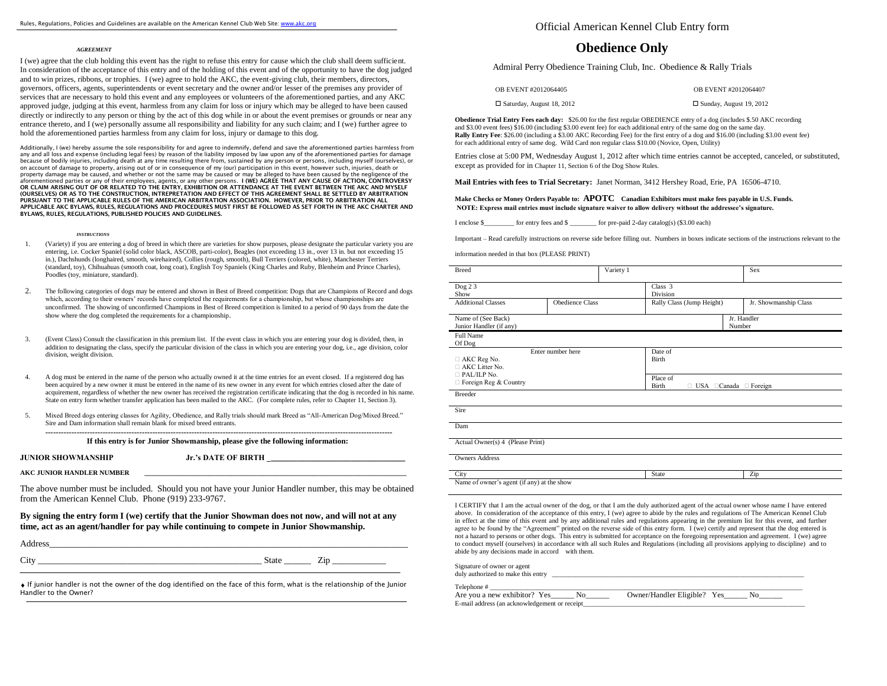#### *AGREEMENT*

I (we) agree that the club holding this event has the right to refuse this entry for cause which the club shall deem sufficient. In consideration of the acceptance of this entry and of the holding of this event and of the opportunity to have the dog judged and to win prizes, ribbons, or trophies. I (we) agree to hold the AKC, the event-giving club, their members, directors, governors, officers, agents, superintendents or event secretary and the owner and/or lesser of the premises any provider of services that are necessary to hold this event and any employees or volunteers of the aforementioned parties, and any AKC approved judge, judging at this event, harmless from any claim for loss or injury which may be alleged to have been caused directly or indirectly to any person or thing by the act of this dog while in or about the event premises or grounds or near any entrance thereto, and I (we) personally assume all responsibility and liability for any such claim; and I (we) further agree to hold the aforementioned parties harmless from any claim for loss, injury or damage to this dog.

Additionally, I (we) hereby assume the sole responsibility for and agree to indemnify, defend and save the aforementioned parties harmless from any and all loss and expense (including legal fees) by reason of the liability imposed by law upon any of the aforementioned parties for damage because of bodily injuries, including death at any time resulting there from, sustained by any person or persons, including myself (ourselves), or on account of damage to property, arising out of or in consequence of my (our) participation in this event, however such, injuries, death or property damage may be caused, and whether or not the same may be caused or may be alleged to have been caused by the negligence of the aforementioned parties or any of their employees, agents, or any other persons. **I (WE) AGREE THAT ANY CAUSE OF ACTION, CONTROVERSY OR CLAIM ARISING OUT OF OR RELATED TO THE ENTRY, EXHIBITION OR ATTENDANCE AT THE EVENT BETWEEN THE AKC AND MYSELF (OURSELVES) OR AS TO THE CONSTRUCTION, INTREPRETATION AND EFFECT OF THIS AGREEMENT SHALL BE SETTLED BY ARBITRATION PURSUANT TO THE APPLICABLE RULES OF THE AMERICAN ARBITRATION ASSOCIATION. HOWEVER, PRIOR TO ARBITRATION ALL APPLICABLE AKC BYLAWS, RULES, REGULATIONS AND PROCEDURES MUST FIRST BE FOLLOWED AS SET FORTH IN THE AKC CHARTER AND BYLAWS, RULES, REGULATIONS, PUBLISHED POLICIES AND GUIDELINES.** 

#### *INSTRUCTIONS*

- 1. (Variety) if you are entering a dog of breed in which there are varieties for show purposes, please designate the particular variety you are entering, i.e. Cocker Spaniel (solid color black, ASCOB, parti-color), Beagles (not exceeding 13 in., over 13 in. but not exceeding 15 in.), Dachshunds (longhaired, smooth, wirehaired), Collies (rough, smooth), Bull Terriers (colored, white), Manchester Terriers (standard, toy), Chihuahuas (smooth coat, long coat), English Toy Spaniels (King Charles and Ruby, Blenheim and Prince Charles), Poodles (toy, miniature, standard).
- 2. The following categories of dogs may be entered and shown in Best of Breed competition: Dogs that are Champions of Record and dogs which, according to their owners' records have completed the requirements for a championship, but whose championships are unconfirmed. The showing of unconfirmed Champions in Best of Breed competition is limited to a period of 90 days from the date the show where the dog completed the requirements for a championship.
- 3. (Event Class) Consult the classification in this premium list. If the event class in which you are entering your dog is divided, then, in addition to designating the class, specify the particular division of the class in which you are entering your dog, i.e., age division, color division, weight division.
- A dog must be entered in the name of the person who actually owned it at the time entries for an event closed. If a registered dog has been acquired by a new owner it must be entered in the name of its new owner in any event for which entries closed after the date of acquirement, regardless of whether the new owner has received the registration certificate indicating that the dog is recorded in his name. State on entry form whether transfer application has been mailed to the AKC. (For complete rules, refer to Chapter 11, Section 3).
- 5. Mixed Breed dogs entering classes for Agility, Obedience, and Rally trials should mark Breed as "All-American Dog/Mixed Breed." Sire and Dam information shall remain blank for mixed breed entrants.

**------------------------------------------------------------------------------------------------------------------------------------- If this entry is for Junior Showmanship, please give the following information:**

**JUNIOR SHOWMANSHIP Jr.'s DATE OF BIRTH \_\_\_\_\_\_\_\_\_\_\_\_\_\_\_\_\_\_\_\_\_\_\_\_\_\_\_\_\_\_\_**

**AKC JUNIOR HANDLER NUMBER** 

The above number must be included. Should you not have your Junior Handler number, this may be obtained from the American Kennel Club. Phone (919) 233-9767.

#### **By signing the entry form I (we) certify that the Junior Showman does not now, and will not at any time, act as an agent/handler for pay while continuing to compete in Junior Showmanship.**

Address\_\_\_\_\_\_\_\_\_\_\_\_\_\_\_\_\_\_\_\_\_\_\_\_\_\_\_\_\_\_\_\_\_\_\_\_\_\_\_\_\_\_\_\_\_\_\_\_\_\_\_\_\_\_\_\_\_\_\_\_\_\_\_\_\_\_\_\_\_\_\_\_\_\_\_\_\_\_\_\_

 $City$   $\rule{1em}{0.15mm}$   $\rule{1em}{0.15mm}$   $\qquad$   $\qquad$   $\qquad$   $\qquad$   $\qquad$   $\qquad$   $\qquad$   $\qquad$   $\qquad$   $\qquad$   $\qquad$   $\qquad$   $\qquad$   $\qquad$   $\qquad$   $\qquad$   $\qquad$   $\qquad$   $\qquad$   $\qquad$   $\qquad$   $\qquad$   $\qquad$   $\qquad$   $\qquad$   $\qquad$   $\qquad$   $\qquad$   $\qquad$   $\qquad$   $\qquad$ 

If junior handler is not the owner of the dog identified on the face of this form, what is the relationship of the Junior Handler to the Owner?

#### Official American Kennel Club Entry form

## **Obedience Only**

Admiral Perry Obedience Training Club, Inc. Obedience & Rally Trials

| OB EVENT #2012064405             | OB EVENT #2012064407           |
|----------------------------------|--------------------------------|
| $\Box$ Saturday, August 18, 2012 | $\Box$ Sunday, August 19, 2012 |

**Obedience Trial Entry Fees each day:** \$26.00 for the first regular OBEDIENCE entry of a dog (includes \$.50 AKC recording and \$3.00 event fees) \$16.00 (including \$3.00 event fee) for each additional entry of the same dog on the same day. **Rally Entry Fee**: \$26.00 (including a \$3.00 AKC Recording Fee) for the first entry of a dog and \$16.00 (including \$3.00 event fee) for each additional entry of same dog. Wild Card non regular class \$10.00 (Novice, Open, Utility)

Entries close at 5:00 PM, Wednesday August 1, 2012 after which time entries cannot be accepted, canceled, or substituted, except as provided for in Chapter 11, Section 6 of the Dog Show Rules.

**Mail Entries with fees to Trial Secretary:** Janet Norman, 3412 Hershey Road, Erie, PA 16506-4710.

**Make Checks or Money Orders Payable to: APOTC Canadian Exhibitors must make fees payable in U.S. Funds. NOTE: Express mail entries must include signature waiver to allow delivery without the addressee's signature.**

I enclose \$\_\_\_\_\_\_\_\_\_ for entry fees and \$ \_\_\_\_\_\_\_\_ for pre-paid 2-day catalog(s) (\$3.00 each)

Important – Read carefully instructions on reverse side before filling out. Numbers in boxes indicate sections of the instructions relevant to the

information needed in that box (PLEASE PRINT)

| <b>Breed</b>                                                     |                 | Variety 1             |                                                              |  | Sex                   |
|------------------------------------------------------------------|-----------------|-----------------------|--------------------------------------------------------------|--|-----------------------|
| Dog 23<br>Show                                                   |                 | Class 3<br>Division   |                                                              |  |                       |
| <b>Additional Classes</b>                                        | Obedience Class |                       | Rally Class (Jump Height)                                    |  | Jr. Showmanship Class |
| Name of (See Back)<br>Junior Handler (if any)<br>Full Name       |                 | Jr. Handler<br>Number |                                                              |  |                       |
| Of Dog                                                           |                 |                       |                                                              |  |                       |
| Enter number here<br>$\Box$ AKC Reg No.<br>$\Box$ AKC Litter No. |                 |                       | Date of<br><b>Birth</b>                                      |  |                       |
| $\Box$ PAL/ILP No.<br>$\Box$ Foreign Reg & Country               |                 |                       | Place of<br><b>Birth</b><br>USA □ Canada □ Foreign<br>$\Box$ |  |                       |
| <b>Breeder</b>                                                   |                 |                       |                                                              |  |                       |
| Sire                                                             |                 |                       |                                                              |  |                       |
| Dam                                                              |                 |                       |                                                              |  |                       |
| Actual Owner(s) 4 (Please Print)                                 |                 |                       |                                                              |  |                       |
| <b>Owners Address</b>                                            |                 |                       |                                                              |  |                       |
| City                                                             |                 |                       | State                                                        |  | Zip                   |
| Name of owner's agent (if any) at the show                       |                 |                       |                                                              |  |                       |

I CERTIFY that I am the actual owner of the dog, or that I am the duly authorized agent of the actual owner whose name I have entered above. In consideration of the acceptance of this entry, I (we) agree to abide by the rules and regulations of The American Kennel Club in effect at the time of this event and by any additional rules and regulations appearing in the premium list for this event, and further agree to be found by the "Agreement" printed on the reverse side of this entry form. I (we) certify and represent that the dog entered is not a hazard to persons or other dogs. This entry is submitted for acceptance on the foregoing representation and agreement. I (we) agree to conduct myself (ourselves) in accordance with all such Rules and Regulations (including all provisions applying to discipline) and to abide by any decisions made in accord with them.

| Signature of owner or agent<br>duly authorized to make this entry |    |                             |    |  |
|-------------------------------------------------------------------|----|-----------------------------|----|--|
| Telephone #                                                       |    |                             |    |  |
| Are you a new exhibitor? Yes                                      | Nο | Owner/Handler Fligible? Yes | Nο |  |

Are you a new exhibitor? Yes\_\_\_\_\_\_ No\_\_\_\_\_\_ Owner/Handler Eligible? Yes\_\_\_\_\_\_ No\_\_\_\_\_\_ E-mail address (an acknowledgement or receipt\_\_\_\_\_\_\_\_\_\_\_\_\_\_\_\_\_\_\_\_\_\_\_\_\_\_\_\_\_\_\_\_\_\_\_\_\_\_\_\_\_\_\_\_\_\_\_\_\_\_\_\_\_\_\_\_\_\_\_\_\_\_\_\_\_\_